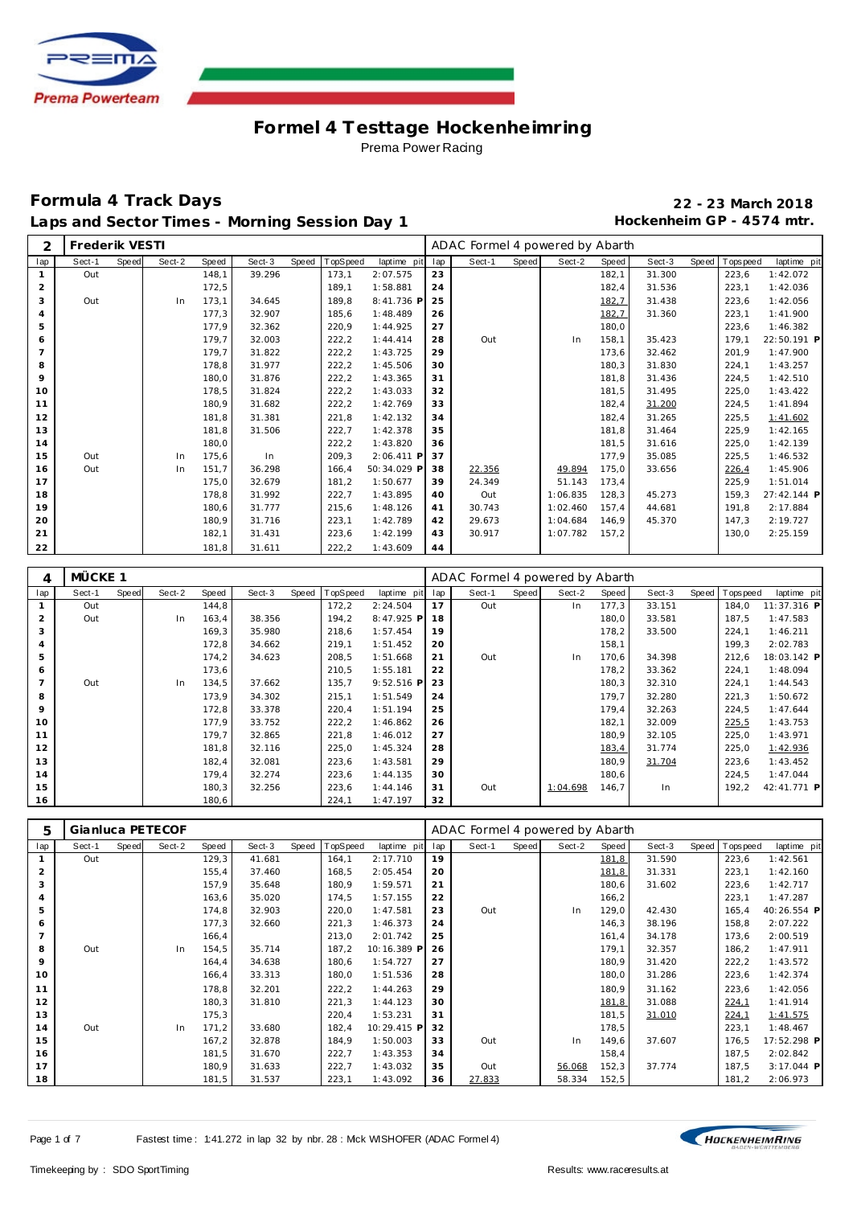

| 2   | Frederik VESTI |       |        |       |        |       |          |             |     | ADAC Formel 4 powered by Abarth |       |          |       |        |       |             |             |
|-----|----------------|-------|--------|-------|--------|-------|----------|-------------|-----|---------------------------------|-------|----------|-------|--------|-------|-------------|-------------|
| lap | Sect-1         | Speed | Sect-2 | Speed | Sect-3 | Speed | TopSpeed | laptime pit | lap | Sect-1                          | Speed | Sect-2   | Speed | Sect-3 | Speed | T ops pee d | laptime pit |
|     | Out            |       |        | 148.1 | 39.296 |       | 173,1    | 2:07.575    | 23  |                                 |       |          | 182,1 | 31.300 |       | 223,6       | 1:42.072    |
| 2   |                |       |        | 172,5 |        |       | 189.1    | 1:58.881    | 24  |                                 |       |          | 182,4 | 31.536 |       | 223,1       | 1:42.036    |
| 3   | Out            |       | In     | 173,1 | 34.645 |       | 189,8    | 8:41.736 P  | 25  |                                 |       |          | 182,7 | 31.438 |       | 223,6       | 1:42.056    |
|     |                |       |        | 177,3 | 32.907 |       | 185,6    | 1:48.489    | 26  |                                 |       |          | 182,7 | 31.360 |       | 223,1       | 1:41.900    |
| 5   |                |       |        | 177,9 | 32.362 |       | 220,9    | 1:44.925    | 27  |                                 |       |          | 180,0 |        |       | 223,6       | 1:46.382    |
| 6   |                |       |        | 179,7 | 32.003 |       | 222, 2   | 1:44.414    | 28  | Out                             |       | In       | 158,1 | 35.423 |       | 179,1       | 22:50.191 P |
|     |                |       |        | 179,7 | 31.822 |       | 222, 2   | 1:43.725    | 29  |                                 |       |          | 173,6 | 32.462 |       | 201,9       | 1:47.900    |
| 8   |                |       |        | 178,8 | 31.977 |       | 222, 2   | 1:45.506    | 30  |                                 |       |          | 180,3 | 31.830 |       | 224,1       | 1:43.257    |
| 9   |                |       |        | 180,0 | 31.876 |       | 222, 2   | 1:43.365    | 31  |                                 |       |          | 181,8 | 31.436 |       | 224,5       | 1:42.510    |
| 10  |                |       |        | 178,5 | 31.824 |       | 222,2    | 1:43.033    | 32  |                                 |       |          | 181,5 | 31.495 |       | 225,0       | 1:43.422    |
| 11  |                |       |        | 180,9 | 31.682 |       | 222, 2   | 1:42.769    | 33  |                                 |       |          | 182,4 | 31.200 |       | 224,5       | 1:41.894    |
| 12  |                |       |        | 181,8 | 31.381 |       | 221,8    | 1:42.132    | 34  |                                 |       |          | 182,4 | 31.265 |       | 225,5       | 1:41.602    |
| 13  |                |       |        | 181,8 | 31.506 |       | 222,7    | 1:42.378    | 35  |                                 |       |          | 181,8 | 31.464 |       | 225,9       | 1:42.165    |
| 14  |                |       |        | 180,0 |        |       | 222,2    | 1:43.820    | 36  |                                 |       |          | 181,5 | 31.616 |       | 225,0       | 1:42.139    |
| 15  | Out            |       | In     | 175,6 | In     |       | 209,3    | 2:06.411 P  | 37  |                                 |       |          | 177,9 | 35.085 |       | 225,5       | 1:46.532    |
| 16  | Out            |       | In     | 151.7 | 36.298 |       | 166,4    | 50:34.029 P | 38  | 22.356                          |       | 49.894   | 175,0 | 33.656 |       | 226,4       | 1:45.906    |
| 17  |                |       |        | 175,0 | 32.679 |       | 181,2    | 1:50.677    | 39  | 24.349                          |       | 51.143   | 173,4 |        |       | 225,9       | 1:51.014    |
| 18  |                |       |        | 178,8 | 31.992 |       | 222,7    | 1:43.895    | 40  | Out                             |       | 1:06.835 | 128,3 | 45.273 |       | 159,3       | 27:42.144 P |
| 19  |                |       |        | 180,6 | 31.777 |       | 215,6    | 1:48.126    | 41  | 30.743                          |       | 1:02.460 | 157,4 | 44.681 |       | 191,8       | 2:17.884    |
| 20  |                |       |        | 180,9 | 31.716 |       | 223,1    | 1:42.789    | 42  | 29.673                          |       | 1:04.684 | 146,9 | 45.370 |       | 147,3       | 2:19.727    |
| 21  |                |       |        | 182,1 | 31.431 |       | 223,6    | 1:42.199    | 43  | 30.917                          |       | 1:07.782 | 157.2 |        |       | 130,0       | 2:25.159    |
| 22  |                |       |        | 181,8 | 31.611 |       | 222, 2   | 1:43.609    | 44  |                                 |       |          |       |        |       |             |             |

| 4   | MÜCKE 1 |       |        |       |        |       |          |              |     | ADAC Formel 4 powered by Abarth |       |          |       |        |                  |             |
|-----|---------|-------|--------|-------|--------|-------|----------|--------------|-----|---------------------------------|-------|----------|-------|--------|------------------|-------------|
| lap | Sect-1  | Speed | Sect-2 | Speed | Sect-3 | Speed | TopSpeed | laptime pit  | lap | Sect-1                          | Speed | Sect-2   | Speed | Sect-3 | Speed   Topspeed | laptime pit |
|     | Out     |       |        | 144,8 |        |       | 172,2    | 2:24.504     | 17  | Out                             |       | In.      | 177,3 | 33.151 | 184.0            | 11:37.316 P |
| 2   | Out     |       | In.    | 163,4 | 38.356 |       | 194,2    | 8:47.925 P   | 18  |                                 |       |          | 180,0 | 33.581 | 187.5            | 1:47.583    |
| 3   |         |       |        | 169,3 | 35.980 |       | 218,6    | 1:57.454     | 19  |                                 |       |          | 178,2 | 33.500 | 224,1            | 1:46.211    |
| 4   |         |       |        | 172,8 | 34.662 |       | 219,1    | 1:51.452     | 20  |                                 |       |          | 158,1 |        | 199,3            | 2:02.783    |
| 5   |         |       |        | 174,2 | 34.623 |       | 208,5    | 1:51.668     | 21  | Out                             |       | In       | 170,6 | 34.398 | 212,6            | 18:03.142 P |
| 6   |         |       |        | 173,6 |        |       | 210,5    | 1:55.181     | 22  |                                 |       |          | 178,2 | 33.362 | 224,1            | 1:48.094    |
|     | Out     |       | In     | 134,5 | 37.662 |       | 135,7    | $9:52.516$ P | 23  |                                 |       |          | 180,3 | 32.310 | 224,1            | 1:44.543    |
| 8   |         |       |        | 173,9 | 34.302 |       | 215,1    | 1:51.549     | 24  |                                 |       |          | 179,7 | 32.280 | 221,3            | 1:50.672    |
| 9   |         |       |        | 172,8 | 33.378 |       | 220,4    | 1:51.194     | 25  |                                 |       |          | 179,4 | 32.263 | 224,5            | 1:47.644    |
| 10  |         |       |        | 177,9 | 33.752 |       | 222,2    | 1:46.862     | 26  |                                 |       |          | 182,1 | 32.009 | 225,5            | 1:43.753    |
| 11  |         |       |        | 179,7 | 32.865 |       | 221,8    | 1:46.012     | 27  |                                 |       |          | 180,9 | 32.105 | 225,0            | 1:43.971    |
| 12  |         |       |        | 181,8 | 32.116 |       | 225,0    | 1:45.324     | 28  |                                 |       |          | 183,4 | 31.774 | 225,0            | 1:42.936    |
| 13  |         |       |        | 182,4 | 32.081 |       | 223,6    | 1:43.581     | 29  |                                 |       |          | 180,9 | 31.704 | 223,6            | 1:43.452    |
| 14  |         |       |        | 179,4 | 32.274 |       | 223,6    | 1:44.135     | 30  |                                 |       |          | 180,6 |        | 224,5            | 1:47.044    |
| 15  |         |       |        | 180,3 | 32.256 |       | 223,6    | 1:44.146     | 31  | Out                             |       | 1:04.698 | 146,7 | In.    | 192.2            | 42:41.771 P |
| 16  |         |       |        | 180,6 |        |       | 224,1    | 1:47.197     | 32  |                                 |       |          |       |        |                  |             |

| 5   |        |       | Gianluca PETECOF |       |        |       |          |             |     | ADAC Formel 4 powered by Abarth |       |        |       |        |       |                  |             |
|-----|--------|-------|------------------|-------|--------|-------|----------|-------------|-----|---------------------------------|-------|--------|-------|--------|-------|------------------|-------------|
| lap | Sect-1 | Speed | Sect-2           | Speed | Sect-3 | Speed | TopSpeed | laptime pit | lap | Sect-1                          | Speed | Sect-2 | Speed | Sect-3 | Speed | <b>Tops peed</b> | laptime pit |
|     | Out    |       |                  | 129,3 | 41.681 |       | 164,1    | 2:17.710    | 19  |                                 |       |        | 181,8 | 31.590 |       | 223,6            | 1:42.561    |
| 2   |        |       |                  | 155,4 | 37.460 |       | 168,5    | 2:05.454    | 20  |                                 |       |        | 181,8 | 31.331 |       | 223,1            | 1:42.160    |
| 3   |        |       |                  | 157,9 | 35.648 |       | 180,9    | 1:59.571    | 21  |                                 |       |        | 180,6 | 31.602 |       | 223,6            | 1:42.717    |
| 4   |        |       |                  | 163,6 | 35.020 |       | 174,5    | 1:57.155    | 22  |                                 |       |        | 166,2 |        |       | 223,1            | 1:47.287    |
| 5   |        |       |                  | 174,8 | 32.903 |       | 220,0    | 1:47.581    | 23  | Out                             |       | In.    | 129,0 | 42.430 |       | 165,4            | 40:26.554 P |
| 6   |        |       |                  | 177,3 | 32.660 |       | 221,3    | 1:46.373    | 24  |                                 |       |        | 146,3 | 38.196 |       | 158,8            | 2:07.222    |
|     |        |       |                  | 166,4 |        |       | 213,0    | 2:01.742    | 25  |                                 |       |        | 161,4 | 34.178 |       | 173,6            | 2:00.519    |
| 8   | Out    |       | In.              | 154,5 | 35.714 |       | 187,2    | 10:16.389 P | 26  |                                 |       |        | 179,1 | 32.357 |       | 186,2            | 1:47.911    |
| 9   |        |       |                  | 164,4 | 34.638 |       | 180,6    | 1:54.727    | 27  |                                 |       |        | 180,9 | 31.420 |       | 222,2            | 1:43.572    |
| 10  |        |       |                  | 166,4 | 33.313 |       | 180,0    | 1:51.536    | 28  |                                 |       |        | 180,0 | 31.286 |       | 223,6            | 1:42.374    |
| 11  |        |       |                  | 178,8 | 32.201 |       | 222,2    | 1:44.263    | 29  |                                 |       |        | 180,9 | 31.162 |       | 223,6            | 1:42.056    |
| 12  |        |       |                  | 180,3 | 31.810 |       | 221,3    | 1:44.123    | 30  |                                 |       |        | 181,8 | 31.088 |       | 224,1            | 1:41.914    |
| 13  |        |       |                  | 175,3 |        |       | 220,4    | 1:53.231    | 31  |                                 |       |        | 181,5 | 31.010 |       | 224,1            | 1:41.575    |
| 14  | Out    |       | In.              | 171,2 | 33.680 |       | 182,4    | 10:29.415 P | 32  |                                 |       |        | 178,5 |        |       | 223,1            | 1:48.467    |
| 15  |        |       |                  | 167,2 | 32.878 |       | 184,9    | 1:50.003    | 33  | Out                             |       | In     | 149,6 | 37.607 |       | 176,5            | 17:52.298 P |
| 16  |        |       |                  | 181,5 | 31.670 |       | 222,7    | 1:43.353    | 34  |                                 |       |        | 158,4 |        |       | 187,5            | 2:02.842    |
| 17  |        |       |                  | 180,9 | 31.633 |       | 222,7    | 1:43.032    | 35  | Out                             |       | 56.068 | 152,3 | 37.774 |       | 187,5            | 3:17.044 P  |
| 18  |        |       |                  | 181,5 | 31.537 |       | 223,1    | 1:43.092    | 36  | 27.833                          |       | 58.334 | 152,5 |        |       | 181,2            | 2:06.973    |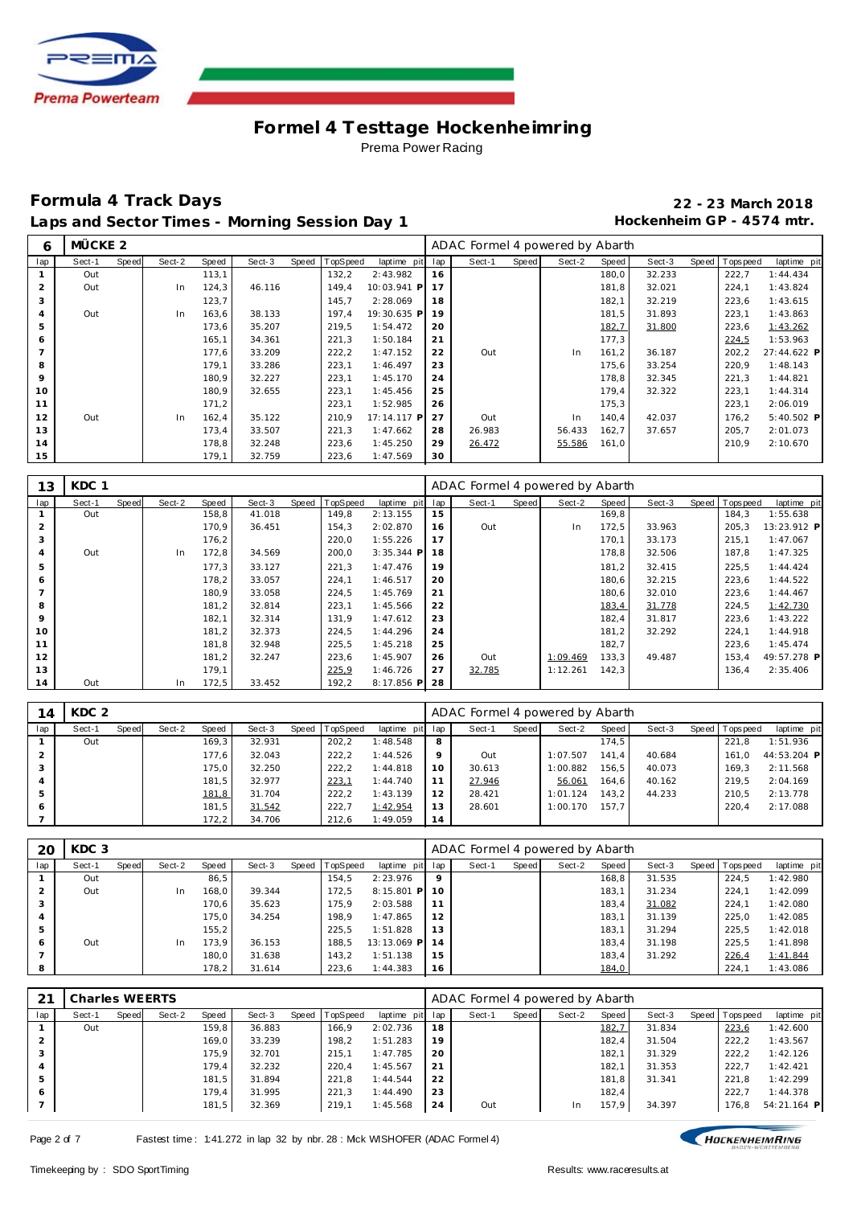

# **Formula 4 Track Days 22 - 23 March 2018** Laps and Sector Times - Morning Session Day 1 **Hockenheim GP** - 4574 mtr.

| 6              | MÜCKE <sub>2</sub> |       |        |       |        |       |          |             |     | ADAC Formel 4 powered by Abarth |       |        |       |        |                   |              |
|----------------|--------------------|-------|--------|-------|--------|-------|----------|-------------|-----|---------------------------------|-------|--------|-------|--------|-------------------|--------------|
| lap            | Sect-1             | Speed | Sect-2 | Speed | Sect-3 | Speed | TopSpeed | laptime pit | lap | Sect-1                          | Speed | Sect-2 | Speed | Sect-3 | Speed   Tops peed | laptime pit  |
|                | Out                |       |        | 113,1 |        |       | 132,2    | 2:43.982    | 16  |                                 |       |        | 180,0 | 32.233 | 222,7             | 1:44.434     |
| 2              | Out                |       | In     | 124,3 | 46.116 |       | 149.4    | 10:03.941 P | 17  |                                 |       |        | 181,8 | 32.021 | 224,1             | 1:43.824     |
| 3              |                    |       |        | 123,7 |        |       | 145.7    | 2:28.069    | 18  |                                 |       |        | 182,1 | 32.219 | 223,6             | 1:43.615     |
| $\overline{4}$ | Out                |       | In     | 163,6 | 38.133 |       | 197.4    | 19:30.635 P | 19  |                                 |       |        | 181,5 | 31.893 | 223,1             | 1:43.863     |
| 5              |                    |       |        | 173,6 | 35.207 |       | 219,5    | 1:54.472    | 20  |                                 |       |        | 182,7 | 31.800 | 223,6             | 1:43.262     |
| 6              |                    |       |        | 165,1 | 34.361 |       | 221,3    | 1:50.184    | 21  |                                 |       |        | 177,3 |        | 224,5             | 1:53.963     |
|                |                    |       |        | 177,6 | 33.209 |       | 222,2    | 1:47.152    | 22  | Out                             |       | In     | 161,2 | 36.187 | 202,2             | 27:44.622 P  |
| 8              |                    |       |        | 179,1 | 33.286 |       | 223,1    | 1:46.497    | 23  |                                 |       |        | 175,6 | 33.254 | 220,9             | 1:48.143     |
| 9              |                    |       |        | 180,9 | 32.227 |       | 223,1    | 1:45.170    | 24  |                                 |       |        | 178,8 | 32.345 | 221,3             | 1:44.821     |
| 10             |                    |       |        | 180,9 | 32.655 |       | 223,1    | 1:45.456    | 25  |                                 |       |        | 179,4 | 32.322 | 223,1             | 1:44.314     |
| 11             |                    |       |        | 171,2 |        |       | 223,1    | 1:52.985    | 26  |                                 |       |        | 175,3 |        | 223,1             | 2:06.019     |
| 12             | Out                |       | In     | 162,4 | 35.122 |       | 210,9    | 17:14.117 P | 27  | Out                             |       | In     | 140,4 | 42.037 | 176,2             | $5:40.502$ P |
| 13             |                    |       |        | 173,4 | 33.507 |       | 221,3    | 1:47.662    | 28  | 26.983                          |       | 56.433 | 162,7 | 37.657 | 205,7             | 2:01.073     |
| 14             |                    |       |        | 178,8 | 32.248 |       | 223,6    | 1:45.250    | 29  | 26.472                          |       | 55.586 | 161,0 |        | 210,9             | 2:10.670     |
| 15             |                    |       |        | 179,1 | 32.759 |       | 223,6    | 1:47.569    | 30  |                                 |       |        |       |        |                   |              |

| 13             | KDC 1  |       |        |       |        |                |              |     | ADAC Formel 4 powered by Abarth |       |          |       |        |                |             |
|----------------|--------|-------|--------|-------|--------|----------------|--------------|-----|---------------------------------|-------|----------|-------|--------|----------------|-------------|
| lap            | Sect-1 | Speed | Sect-2 | Speed | Sect-3 | Speed TopSpeed | laptime pit  | lap | Sect-1                          | Speed | Sect-2   | Speed | Sect-3 | Speed Topspeed | laptime pit |
|                | Out    |       |        | 158,8 | 41.018 | 149,8          | 2:13.155     | 15  |                                 |       |          | 169,8 |        | 184,3          | 1:55.638    |
| $\overline{2}$ |        |       |        | 170,9 | 36.451 | 154,3          | 2:02.870     | 16  | Out                             |       | In       | 172,5 | 33.963 | 205,3          | 13:23.912 P |
| 3              |        |       |        | 176,2 |        | 220,0          | 1:55.226     | 17  |                                 |       |          | 170.1 | 33.173 | 215.1          | 1:47.067    |
| $\overline{4}$ | Out    |       | In     | 172,8 | 34.569 | 200,0          | 3:35.344 P   | 18  |                                 |       |          | 178,8 | 32.506 | 187,8          | 1:47.325    |
| 5              |        |       |        | 177,3 | 33.127 | 221,3          | 1:47.476     | 19  |                                 |       |          | 181,2 | 32.415 | 225,5          | 1:44.424    |
| 6              |        |       |        | 178,2 | 33.057 | 224,1          | 1:46.517     | 20  |                                 |       |          | 180,6 | 32.215 | 223,6          | 1:44.522    |
|                |        |       |        | 180,9 | 33.058 | 224,5          | 1:45.769     | 21  |                                 |       |          | 180,6 | 32.010 | 223,6          | 1:44.467    |
| 8              |        |       |        | 181,2 | 32.814 | 223,1          | 1:45.566     | 22  |                                 |       |          | 183,4 | 31.778 | 224,5          | 1:42.730    |
| 9              |        |       |        | 182,1 | 32.314 | 131,9          | 1:47.612     | 23  |                                 |       |          | 182,4 | 31.817 | 223,6          | 1:43.222    |
| 10             |        |       |        | 181,2 | 32.373 | 224,5          | 1:44.296     | 24  |                                 |       |          | 181,2 | 32.292 | 224,1          | 1:44.918    |
| 11             |        |       |        | 181,8 | 32.948 | 225,5          | 1:45.218     | 25  |                                 |       |          | 182,7 |        | 223,6          | 1:45.474    |
| 12             |        |       |        | 181,2 | 32.247 | 223,6          | 1:45.907     | 26  | Out                             |       | 1:09.469 | 133,3 | 49.487 | 153,4          | 49:57.278 P |
| 13             |        |       |        | 179,1 |        | 225.9          | 1:46.726     | 27  | 32.785                          |       | 1:12.261 | 142,3 |        | 136,4          | 2:35.406    |
| 14             | Out    |       | In     | 172,5 | 33.452 | 192,2          | $8:17.856$ P | 28  |                                 |       |          |       |        |                |             |

| 14  | KDC 2  |       |        |       |        |       |                 |                 |         | ADAC Formel 4 powered by Abarth |       |          |       |        |                 |             |
|-----|--------|-------|--------|-------|--------|-------|-----------------|-----------------|---------|---------------------------------|-------|----------|-------|--------|-----------------|-------------|
| lap | Sect-1 | Speed | Sect-2 | Speed | Sect-3 | Speed | <b>TopSpeed</b> | laptime pit lap |         | Sect-1                          | Speed | Sect-2   | Speed | Sect-3 | Speed Tops peed | laptime pit |
|     | Out    |       |        | 169,3 | 32.931 |       | 202,2           | 1:48.548        | 8       |                                 |       |          | 174.5 |        | 221.8           | 1:51.936    |
|     |        |       |        | 177,6 | 32.043 |       | 222.2           | 1:44.526        | $\circ$ | Out                             |       | 1:07.507 | 141.4 | 40.684 | 161.0           | 44:53.204 P |
|     |        |       |        | 175,0 | 32.250 |       | 222,2           | 1:44.818        | 10      | 30.613                          |       | 1:00.882 | 156.5 | 40.073 | 169.3           | 2:11.568    |
|     |        |       |        | 181,5 | 32.977 |       | 223,1           | 1:44.740        |         | 27.946                          |       | 56.061   | 164.6 | 40.162 | 219.5           | 2:04.169    |
|     |        |       |        | 181,8 | 31.704 |       | 222,2           | 1:43.139        | 12      | 28.421                          |       | 1:01.124 | 143.2 | 44.233 | 210.5           | 2:13.778    |
|     |        |       |        | 181,5 | 31.542 |       | 222,7           | 1:42.954        | 13      | 28.601                          |       | 1:00.170 | 157.7 |        | 220.4           | 2:17.088    |
|     |        |       |        | 172,2 | 34.706 |       | 212,6           | 1:49.059        | 14      |                                 |       |          |       |        |                 |             |

| -20 | KDC 3  |       |        |       |        |       |                 |                  |         | ADAC Formel 4 powered by Abarth |       |        |       |        |                |             |
|-----|--------|-------|--------|-------|--------|-------|-----------------|------------------|---------|---------------------------------|-------|--------|-------|--------|----------------|-------------|
| lap | Sect-1 | Speed | Sect-2 | Speed | Sect-3 | Speed | <b>TopSpeed</b> | laptime pit      | lap     | Sect-1                          | Speed | Sect-2 | Speed | Sect-3 | Speed Topspeed | laptime pit |
|     | Out    |       |        | 86,5  |        |       | 154.5           | 2:23.976         | $\circ$ |                                 |       |        | 168,8 | 31.535 | 224.5          | 1:42.980    |
|     | Out    |       | In     | 168,0 | 39.344 |       | 172.5           | $8:15.801$ PI 10 |         |                                 |       |        | 183,1 | 31.234 | 224.7          | 1:42.099    |
|     |        |       |        | 170.6 | 35.623 |       | 175.9           | 2:03.588         | 11      |                                 |       |        | 183.4 | 31.082 | 224.7          | 1:42.080    |
| 4   |        |       |        | 175,0 | 34.254 |       | 198.9           | 1:47.865         | 12      |                                 |       |        | 183,1 | 31.139 | 225,0          | 1:42.085    |
| 5   |        |       |        | 155,2 |        |       | 225.5           | 1:51.828         | 13      |                                 |       |        | 183.1 | 31.294 | 225.5          | 1:42.018    |
| 6   | Out    |       | In     | 173,9 | 36.153 |       | 188.5           | 13:13.069 P      | 14      |                                 |       |        | 183,4 | 31.198 | 225.5          | 1:41.898    |
|     |        |       |        | 180,0 | 31.638 |       | 143.2           | 1:51.138         | 15      |                                 |       |        | 183,4 | 31.292 | 226,4          | 1:41.844    |
| 8   |        |       |        | 178,2 | 31.614 |       | 223,6           | 1:44.383         | 16      |                                 |       |        | 184,0 |        | 224,7          | 1:43.086    |

| 21           | Charles WEERTS |       |        |       |        |       |          |             |     | ADAC Formel 4 powered by Abarth |       |        |       |        |                |             |
|--------------|----------------|-------|--------|-------|--------|-------|----------|-------------|-----|---------------------------------|-------|--------|-------|--------|----------------|-------------|
| lap          | Sect-1         | Speed | Sect-2 | Speed | Sect-3 | Speed | TopSpeed | laptime pit | lap | Sect-1                          | Speed | Sect-2 | Speed | Sect-3 | Speed Topspeed | laptime pit |
|              | Out            |       |        | 159,8 | 36.883 |       | 166.9    | 2:02.736    | 18  |                                 |       |        | 182,7 | 31.834 | 223,6          | 1:42.600    |
|              |                |       |        | 169.0 | 33.239 |       | 198.2    | 1:51.283    | 19  |                                 |       |        | 182,4 | 31.504 | 222,2          | 1:43.567    |
|              |                |       |        | 175.9 | 32.701 |       | 215.1    | 1:47.785    | 20  |                                 |       |        | 182,1 | 31.329 | 222.2          | 1:42.126    |
|              |                |       |        | 179,4 | 32.232 |       | 220.4    | 1:45.567    | 21  |                                 |       |        | 182,1 | 31.353 | 222.7          | 1:42.421    |
|              |                |       |        | 181,5 | 31.894 |       | 221.8    | 1:44.544    | 22  |                                 |       |        | 181,8 | 31.341 | 221.8          | 1:42.299    |
| <sub>6</sub> |                |       |        | 179.4 | 31.995 |       | 221.3    | 1:44.490    | 23  |                                 |       |        | 182.4 |        | 222.7          | 1:44.378    |
|              |                |       |        | 181,5 | 32.369 |       | 219.1    | 1:45.568    | 24  | Out                             |       | In.    | 157,9 | 34.397 | 176.8          | 54:21.164 P |

Page 2 of 7 Fastest time: 1:41.272 in lap 32 by nbr. 28 : Mck WISHOFER (ADAC Formel 4)

HOCKENHEIMRING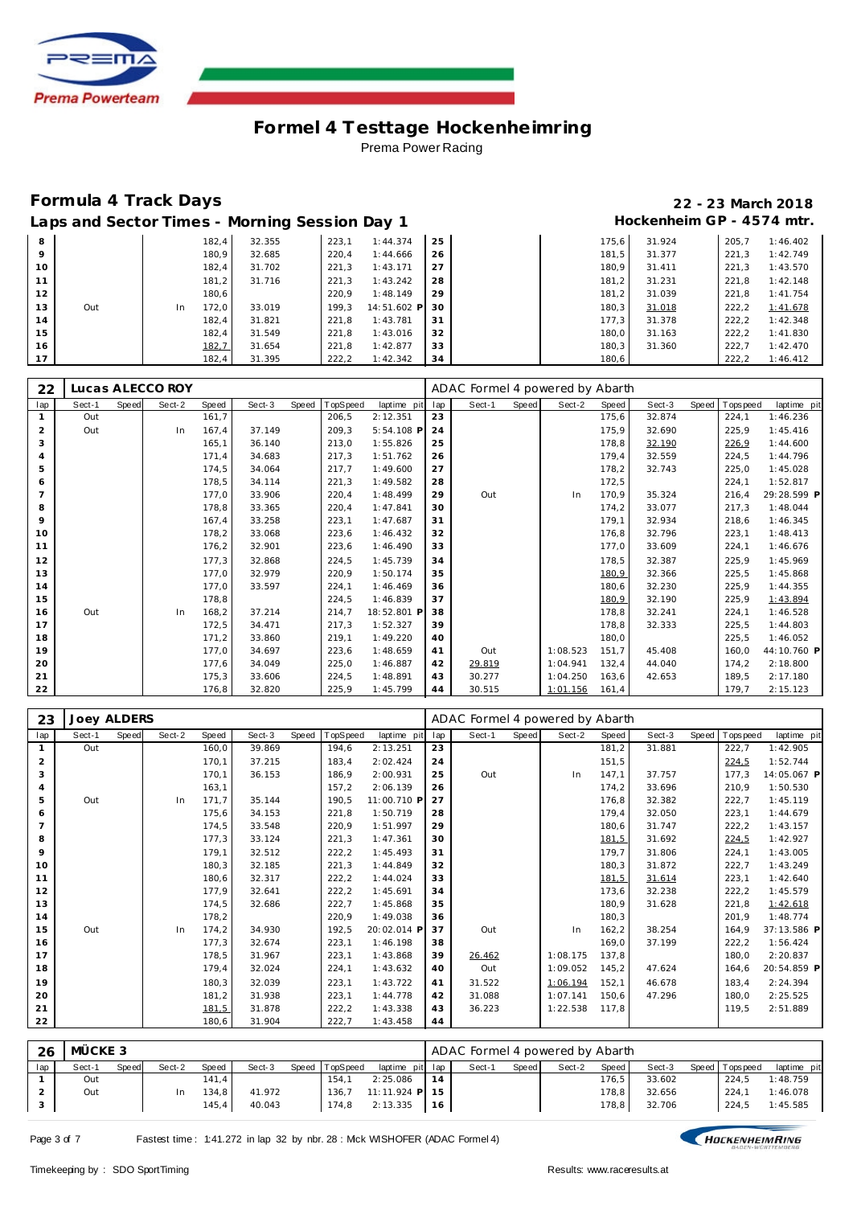

### **Formula 4 Track Days 22 - 23 March 2018** Laps and Sector Times - Morning Session Day 1 **Hockenheim GP** - 4574 mtr.

|    |     |     |       | Laps and South Thirds Thomas Sociol Bay T |       |                |    |       |        |       |          |
|----|-----|-----|-------|-------------------------------------------|-------|----------------|----|-------|--------|-------|----------|
| 8  |     |     | 182,4 | 32.355                                    | 223.1 | 1:44.374       | 25 | 175.6 | 31.924 | 205.7 | 1:46.402 |
| 9  |     |     | 180,9 | 32.685                                    | 220,4 | 1:44.666       | 26 | 181,5 | 31.377 | 221.3 | 1:42.749 |
| 10 |     |     | 182,4 | 31.702                                    | 221,3 | 1:43.171       | 27 | 180.9 | 31.411 | 221.3 | 1:43.570 |
| 11 |     |     | 181,2 | 31.716                                    | 221.3 | 1:43.242       | 28 | 181.2 | 31.231 | 221.8 | 1:42.148 |
| 12 |     |     | 180.6 |                                           | 220.9 | 1:48.149       | 29 | 181,2 | 31.039 | 221.8 | 1:41.754 |
| 13 | Out | In. | 172.0 | 33.019                                    | 199.3 | 14:51.602 P 30 |    | 180,3 | 31.018 | 222,2 | 1:41.678 |
| 14 |     |     | 182.4 | 31.821                                    | 221,8 | 1:43.781       | 31 | 177.3 | 31.378 | 222,2 | 1:42.348 |
| 15 |     |     | 182.4 | 31.549                                    | 221,8 | 1:43.016       | 32 | 180.0 | 31.163 | 222,2 | 1:41.830 |
| 16 |     |     | 182,7 | 31.654                                    | 221.8 | 1:42.877       | 33 | 180.3 | 31.360 | 222.7 | 1:42.470 |
| 17 |     |     | 182,4 | 31.395                                    | 222,2 | 1:42.342       | 34 | 180,6 |        | 222,2 | 1:46.412 |

| 22             |        |       | Lucas ALECCO ROY |       |        |       |          |              |     | ADAC Formel 4 powered by Abarth |       |          |       |        |                |             |
|----------------|--------|-------|------------------|-------|--------|-------|----------|--------------|-----|---------------------------------|-------|----------|-------|--------|----------------|-------------|
| lap            | Sect-1 | Speed | Sect-2           | Speed | Sect-3 | Speed | TopSpeed | laptime pit  | lap | Sect-1                          | Speed | Sect-2   | Speed | Sect-3 | Speed Topspeed | laptime pit |
| $\mathbf{1}$   | Out    |       |                  | 161.7 |        |       | 206,5    | 2:12.351     | 23  |                                 |       |          | 175,6 | 32.874 | 224,1          | 1:46.236    |
| $\overline{2}$ | Out    |       | In               | 167,4 | 37.149 |       | 209,3    | $5:54.108$ F | 24  |                                 |       |          | 175,9 | 32.690 | 225,9          | 1:45.416    |
| 3              |        |       |                  | 165.1 | 36.140 |       | 213,0    | 1:55.826     | 25  |                                 |       |          | 178,8 | 32.190 | 226,9          | 1:44.600    |
| $\overline{4}$ |        |       |                  | 171.4 | 34.683 |       | 217,3    | 1:51.762     | 26  |                                 |       |          | 179,4 | 32.559 | 224,5          | 1:44.796    |
| 5              |        |       |                  | 174,5 | 34.064 |       | 217,7    | 1:49.600     | 27  |                                 |       |          | 178,2 | 32.743 | 225,0          | 1:45.028    |
| 6              |        |       |                  | 178,5 | 34.114 |       | 221,3    | 1:49.582     | 28  |                                 |       |          | 172,5 |        | 224,1          | 1:52.817    |
| $\overline{7}$ |        |       |                  | 177,0 | 33.906 |       | 220,4    | 1:48.499     | 29  | Out                             |       | In       | 170.9 | 35.324 | 216,4          | 29:28.599 P |
| 8              |        |       |                  | 178,8 | 33.365 |       | 220,4    | 1:47.841     | 30  |                                 |       |          | 174,2 | 33.077 | 217,3          | 1:48.044    |
| 9              |        |       |                  | 167,4 | 33.258 |       | 223,1    | 1:47.687     | 31  |                                 |       |          | 179,1 | 32.934 | 218,6          | 1:46.345    |
| 10             |        |       |                  | 178,2 | 33.068 |       | 223,6    | 1:46.432     | 32  |                                 |       |          | 176,8 | 32.796 | 223,1          | 1:48.413    |
| 11             |        |       |                  | 176,2 | 32.901 |       | 223,6    | 1:46.490     | 33  |                                 |       |          | 177,0 | 33.609 | 224,1          | 1:46.676    |
| 12             |        |       |                  | 177,3 | 32.868 |       | 224,5    | 1:45.739     | 34  |                                 |       |          | 178,5 | 32.387 | 225,9          | 1:45.969    |
| 13             |        |       |                  | 177,0 | 32.979 |       | 220,9    | 1:50.174     | 35  |                                 |       |          | 180,9 | 32.366 | 225,5          | 1:45.868    |
| 14             |        |       |                  | 177,0 | 33.597 |       | 224,1    | 1:46.469     | 36  |                                 |       |          | 180,6 | 32.230 | 225,9          | 1:44.355    |
| 15             |        |       |                  | 178,8 |        |       | 224,5    | 1:46.839     | 37  |                                 |       |          | 180,9 | 32.190 | 225,9          | 1:43.894    |
| 16             | Out    |       | In               | 168.2 | 37.214 |       | 214,7    | 18:52.801 P  | 38  |                                 |       |          | 178.8 | 32.241 | 224,1          | 1:46.528    |
| 17             |        |       |                  | 172,5 | 34.471 |       | 217,3    | 1:52.327     | 39  |                                 |       |          | 178,8 | 32.333 | 225,5          | 1:44.803    |
| 18             |        |       |                  | 171,2 | 33.860 |       | 219,1    | 1:49.220     | 40  |                                 |       |          | 180,0 |        | 225.5          | 1:46.052    |
| 19             |        |       |                  | 177.0 | 34.697 |       | 223,6    | 1:48.659     | 41  | Out                             |       | 1:08.523 | 151,7 | 45.408 | 160.0          | 44:10.760 P |
| 20             |        |       |                  | 177.6 | 34.049 |       | 225,0    | 1:46.887     | 42  | 29.819                          |       | 1:04.941 | 132,4 | 44.040 | 174.2          | 2:18.800    |
| 21             |        |       |                  | 175,3 | 33.606 |       | 224,5    | 1:48.891     | 43  | 30.277                          |       | 1:04.250 | 163,6 | 42.653 | 189,5          | 2:17.180    |
| 22             |        |       |                  | 176,8 | 32.820 |       | 225,9    | 1:45.799     | 44  | 30.515                          |       | 1:01.156 | 161,4 |        | 179.7          | 2:15.123    |

| 23  | <b>Joey ALDERS</b> |       |        |       |        |       |          |             |     | ADAC Formel 4 powered by Abarth |       |          |        |        |       |             |             |
|-----|--------------------|-------|--------|-------|--------|-------|----------|-------------|-----|---------------------------------|-------|----------|--------|--------|-------|-------------|-------------|
| lap | Sect-1             | Speed | Sect-2 | Speed | Sect-3 | Speed | TopSpeed | laptime pit | lap | Sect-1                          | Speed | Sect-2   | Speed  | Sect-3 | Speed | T ops pee d | laptime pit |
|     | Out                |       |        | 160,0 | 39.869 |       | 194.6    | 2:13.251    | 23  |                                 |       |          | 181,2  | 31.881 |       | 222,7       | 1:42.905    |
| 2   |                    |       |        | 170,1 | 37.215 |       | 183,4    | 2:02.424    | 24  |                                 |       |          | 151,5  |        |       | 224,5       | 1:52.744    |
| 3   |                    |       |        | 170,1 | 36.153 |       | 186.9    | 2:00.931    | 25  | Out                             |       | In.      | 147,1  | 37.757 |       | 177.3       | 14:05.067 P |
|     |                    |       |        | 163,1 |        |       | 157,2    | 2:06.139    | 26  |                                 |       |          | 174,2  | 33.696 |       | 210,9       | 1:50.530    |
| 5   | Out                |       | In     | 171.7 | 35.144 |       | 190.5    | 11:00.710 P | 27  |                                 |       |          | 176,8  | 32.382 |       | 222,7       | 1:45.119    |
| 6   |                    |       |        | 175,6 | 34.153 |       | 221,8    | 1:50.719    | 28  |                                 |       |          | 179,4  | 32.050 |       | 223,1       | 1:44.679    |
|     |                    |       |        | 174,5 | 33.548 |       | 220,9    | 1:51.997    | 29  |                                 |       |          | 180,6  | 31.747 |       | 222,2       | 1:43.157    |
| 8   |                    |       |        | 177,3 | 33.124 |       | 221,3    | 1:47.361    | 30  |                                 |       |          | 181,5  | 31.692 |       | 224,5       | 1:42.927    |
| 9   |                    |       |        | 179,1 | 32.512 |       | 222, 2   | 1:45.493    | 31  |                                 |       |          | 179,7  | 31.806 |       | 224,1       | 1:43.005    |
| 10  |                    |       |        | 180.3 | 32.185 |       | 221,3    | 1:44.849    | 32  |                                 |       |          | 180,3  | 31.872 |       | 222,7       | 1:43.249    |
| 11  |                    |       |        | 180,6 | 32.317 |       | 222,2    | 1:44.024    | 33  |                                 |       |          | 181,5  | 31.614 |       | 223,1       | 1:42.640    |
| 12  |                    |       |        | 177.9 | 32.641 |       | 222, 2   | 1:45.691    | 34  |                                 |       |          | 173,6  | 32.238 |       | 222,2       | 1:45.579    |
| 13  |                    |       |        | 174,5 | 32.686 |       | 222,7    | 1:45.868    | 35  |                                 |       |          | 180,9  | 31.628 |       | 221,8       | 1:42.618    |
| 14  |                    |       |        | 178,2 |        |       | 220,9    | 1:49.038    | 36  |                                 |       |          | 180,3  |        |       | 201,9       | 1:48.774    |
| 15  | Out                |       | In     | 174,2 | 34.930 |       | 192,5    | 20:02.014 P | 37  | Out                             |       | In       | 162, 2 | 38.254 |       | 164,9       | 37:13.586 P |
| 16  |                    |       |        | 177,3 | 32.674 |       | 223,1    | 1:46.198    | 38  |                                 |       |          | 169,0  | 37.199 |       | 222,2       | 1:56.424    |
| 17  |                    |       |        | 178,5 | 31.967 |       | 223,1    | 1:43.868    | 39  | 26.462                          |       | 1:08.175 | 137,8  |        |       | 180.0       | 2:20.837    |
| 18  |                    |       |        | 179,4 | 32.024 |       | 224,1    | 1:43.632    | 40  | Out                             |       | 1:09.052 | 145,2  | 47.624 |       | 164,6       | 20:54.859 P |
| 19  |                    |       |        | 180,3 | 32.039 |       | 223,1    | 1:43.722    | 41  | 31.522                          |       | 1:06.194 | 152,1  | 46.678 |       | 183,4       | 2:24.394    |
| 20  |                    |       |        | 181,2 | 31.938 |       | 223,1    | 1:44.778    | 42  | 31.088                          |       | 1:07.141 | 150,6  | 47.296 |       | 180,0       | 2:25.525    |
| 21  |                    |       |        | 181,5 | 31.878 |       | 222, 2   | 1:43.338    | 43  | 36.223                          |       | 1:22.538 | 117.8  |        |       | 119,5       | 2:51.889    |
| 22  |                    |       |        | 180,6 | 31.904 |       | 222,7    | 1:43.458    | 44  |                                 |       |          |        |        |       |             |             |

| 26  | MÜCKE 3 |              |        |       |        |                |                 |    | ADAC Formel 4 powered by Abarth |       |        |                    |        |                |             |
|-----|---------|--------------|--------|-------|--------|----------------|-----------------|----|---------------------------------|-------|--------|--------------------|--------|----------------|-------------|
| lap | Sect-1  | <b>Speed</b> | Sect-2 | Speed | Sect-3 | Speed TopSpeed | laptime pit lap |    | Sect-1                          | Speed | Sect-2 | Speed              | Sect-3 | Speed Topspeed | laptime pit |
|     | Out     |              |        | 141.4 |        | 154.1          | 2:25.086        | 14 |                                 |       |        | 176.5 <sub>1</sub> | 33.602 | 224,5          | 1:48.759    |
|     | Out     |              | In     | 134.8 | 41.972 | 136.7          | 11:11.924 P 15  |    |                                 |       |        | 178.8              | 32.656 | 224.1          | 1:46.078    |
| - 2 |         |              |        | 145,4 | 40.043 | 174.8          | 2:13.335        | 16 |                                 |       |        | 178.8              | 32.706 | 224.5          | 1:45.585    |

HOCKENHEIMRING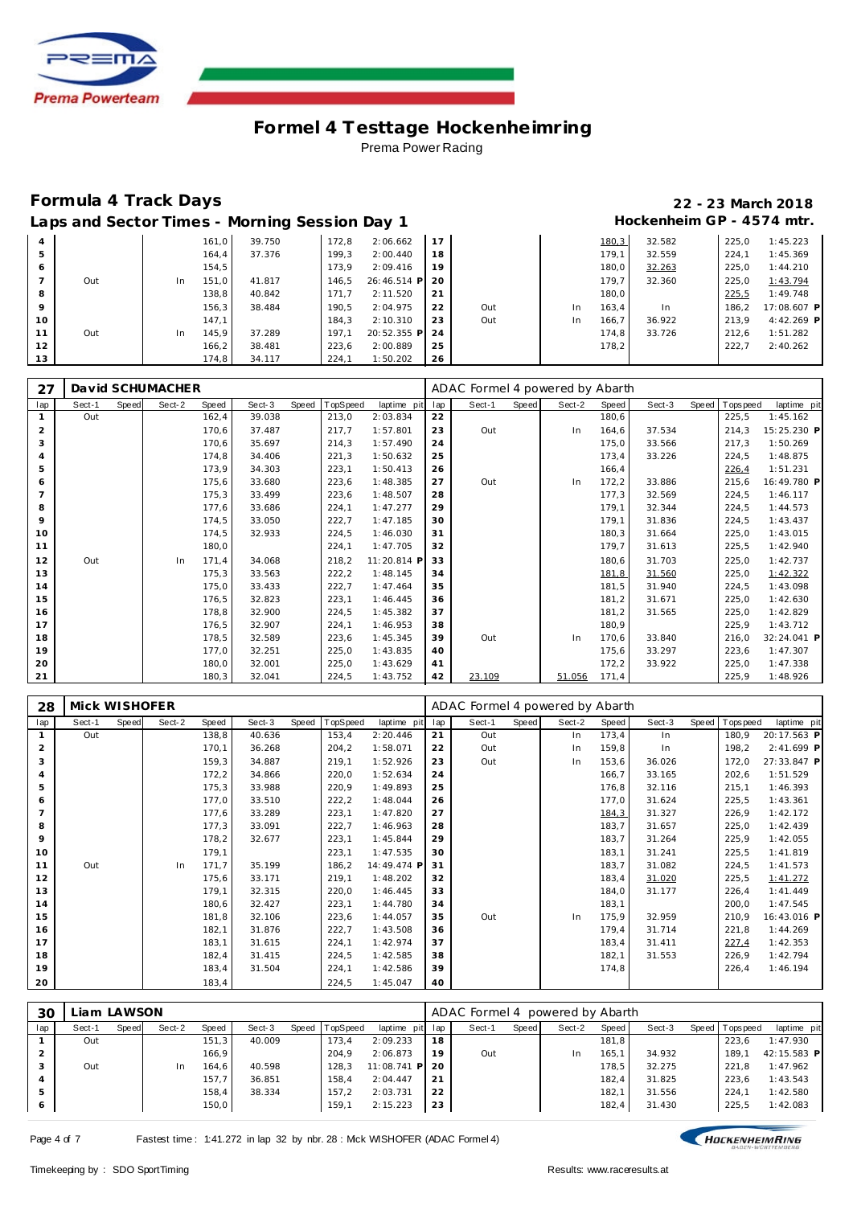

|                 | $= 500$ $= 500$ $= 500$ |     |       |        |       |                |    |     |           |       |        |       |              |
|-----------------|-------------------------|-----|-------|--------|-------|----------------|----|-----|-----------|-------|--------|-------|--------------|
| $\overline{4}$  |                         |     | 161,0 | 39.750 | 172,8 | 2:06.662       | 17 |     |           | 180,3 | 32.582 | 225.0 | 1:45.223     |
| 5               |                         |     | 164,4 | 37.376 | 199,3 | 2:00.440       | 18 |     |           | 179,1 | 32.559 | 224,1 | 1:45.369     |
| 6               |                         |     | 154,5 |        | 173.9 | 2:09.416       | 19 |     |           | 180,0 | 32.263 | 225,0 | 1:44.210     |
|                 | Out                     | In. | 151.0 | 41.817 | 146,5 | 26:46.514 P 20 |    |     |           | 179.7 | 32.360 | 225.0 | 1:43.794     |
| 8               |                         |     | 138.8 | 40.842 | 171.7 | 2:11.520       | 21 |     |           | 180,0 |        | 225,5 | 1:49.748     |
| 9               |                         |     | 156,3 | 38.484 | 190,5 | 2:04.975       | 22 | Out | <b>In</b> | 163,4 | In     | 186.2 | 17:08.607 P  |
| 10 <sup>°</sup> |                         |     | 147.1 |        | 184.3 | 2:10.310       | 23 | Out | 1n        | 166,7 | 36.922 | 213.9 | $4:42.269$ P |
| 11              | Out                     | In. | 145.9 | 37.289 | 197.1 | 20:52.355 P    | 24 |     |           | 174,8 | 33.726 | 212.6 | 1:51.282     |
| 12              |                         |     | 166,2 | 38.481 | 223,6 | 2:00.889       | 25 |     |           | 178,2 |        | 222.7 | 2:40.262     |
| 13              |                         |     | 174,8 | 34.117 | 224.1 | 1:50.202       | 26 |     |           |       |        |       |              |

| 27             |        |       | David SCHUMACHER |       |        |       |          |             |     | ADAC Formel 4 powered by Abarth |       |        |        |        |       |            |             |
|----------------|--------|-------|------------------|-------|--------|-------|----------|-------------|-----|---------------------------------|-------|--------|--------|--------|-------|------------|-------------|
| lap            | Sect-1 | Speed | Sect-2           | Speed | Sect-3 | Speed | TopSpeed | laptime pit | lap | Sect-1                          | Speed | Sect-2 | Speed  | Sect-3 | Speed | T ops peed | laptime pit |
|                | Out    |       |                  | 162,4 | 39.038 |       | 213,0    | 2:03.834    | 22  |                                 |       |        | 180,6  |        |       | 225,5      | 1:45.162    |
| $\overline{2}$ |        |       |                  | 170,6 | 37.487 |       | 217,7    | 1:57.801    | 23  | Out                             |       | In.    | 164,6  | 37.534 |       | 214,3      | 15:25.230 P |
| 3              |        |       |                  | 170.6 | 35.697 |       | 214,3    | 1:57.490    | 24  |                                 |       |        | 175,0  | 33.566 |       | 217.3      | 1:50.269    |
| $\overline{4}$ |        |       |                  | 174,8 | 34.406 |       | 221,3    | 1:50.632    | 25  |                                 |       |        | 173,4  | 33.226 |       | 224,5      | 1:48.875    |
| 5              |        |       |                  | 173,9 | 34.303 |       | 223,1    | 1:50.413    | 26  |                                 |       |        | 166,4  |        |       | 226,4      | 1:51.231    |
| 6              |        |       |                  | 175,6 | 33.680 |       | 223,6    | 1:48.385    | 27  | Out                             |       | In     | 172, 2 | 33.886 |       | 215,6      | 16:49.780 P |
| $\overline{7}$ |        |       |                  | 175,3 | 33.499 |       | 223,6    | 1:48.507    | 28  |                                 |       |        | 177,3  | 32.569 |       | 224,5      | 1:46.117    |
| 8              |        |       |                  | 177,6 | 33.686 |       | 224,1    | 1:47.277    | 29  |                                 |       |        | 179,1  | 32.344 |       | 224,5      | 1:44.573    |
| 9              |        |       |                  | 174,5 | 33.050 |       | 222,7    | 1:47.185    | 30  |                                 |       |        | 179,1  | 31.836 |       | 224,5      | 1:43.437    |
| 10             |        |       |                  | 174.5 | 32.933 |       | 224,5    | 1:46.030    | 31  |                                 |       |        | 180,3  | 31.664 |       | 225,0      | 1:43.015    |
| 11             |        |       |                  | 180,0 |        |       | 224,1    | 1:47.705    | 32  |                                 |       |        | 179,7  | 31.613 |       | 225,5      | 1:42.940    |
| 12             | Out    |       | In               | 171.4 | 34.068 |       | 218,2    | 11:20.814 P | 33  |                                 |       |        | 180,6  | 31.703 |       | 225,0      | 1:42.737    |
| 13             |        |       |                  | 175,3 | 33.563 |       | 222, 2   | 1:48.145    | 34  |                                 |       |        | 181,8  | 31.560 |       | 225,0      | 1:42.322    |
| 14             |        |       |                  | 175,0 | 33.433 |       | 222,7    | 1:47.464    | 35  |                                 |       |        | 181,5  | 31.940 |       | 224,5      | 1:43.098    |
| 15             |        |       |                  | 176,5 | 32.823 |       | 223,1    | 1:46.445    | 36  |                                 |       |        | 181,2  | 31.671 |       | 225,0      | 1:42.630    |
| 16             |        |       |                  | 178,8 | 32.900 |       | 224,5    | 1:45.382    | 37  |                                 |       |        | 181,2  | 31.565 |       | 225,0      | 1:42.829    |
| 17             |        |       |                  | 176,5 | 32.907 |       | 224,1    | 1:46.953    | 38  |                                 |       |        | 180,9  |        |       | 225,9      | 1:43.712    |
| 18             |        |       |                  | 178,5 | 32.589 |       | 223,6    | 1:45.345    | 39  | Out                             |       | In     | 170,6  | 33.840 |       | 216,0      | 32:24.041 P |
| 19             |        |       |                  | 177.0 | 32.251 |       | 225,0    | 1:43.835    | 40  |                                 |       |        | 175,6  | 33.297 |       | 223,6      | 1:47.307    |
| 20             |        |       |                  | 180,0 | 32.001 |       | 225,0    | 1:43.629    | 41  |                                 |       |        | 172,2  | 33.922 |       | 225,0      | 1:47.338    |
| 21             |        |       |                  | 180,3 | 32.041 |       | 224,5    | 1:43.752    | 42  | 23.109                          |       | 51.056 | 171,4  |        |       | 225,9      | 1:48.926    |

| 28             | Mick WISHOFER |       |        |       |        |       |          |             |     | ADAC Formel 4 powered by Abarth |       |        |       |        |       |             |             |
|----------------|---------------|-------|--------|-------|--------|-------|----------|-------------|-----|---------------------------------|-------|--------|-------|--------|-------|-------------|-------------|
| lap            | Sect-1        | Speed | Sect-2 | Speed | Sect-3 | Speed | TopSpeed | laptime pit | lap | Sect-1                          | Speed | Sect-2 | Speed | Sect-3 | Speed | T ops pee d | laptime pit |
|                | Out           |       |        | 138,8 | 40.636 |       | 153,4    | 2:20.446    | 21  | Out                             |       | In     | 173,4 | In     |       | 180,9       | 20:17.563 P |
| 2              |               |       |        | 170.1 | 36.268 |       | 204,2    | 1:58.071    | 22  | Out                             |       | In     | 159,8 | In     |       | 198,2       | 2:41.699 P  |
| 3              |               |       |        | 159,3 | 34.887 |       | 219,1    | 1:52.926    | 23  | Out                             |       | In     | 153,6 | 36.026 |       | 172,0       | 27:33.847 P |
| $\overline{4}$ |               |       |        | 172,2 | 34.866 |       | 220,0    | 1:52.634    | 24  |                                 |       |        | 166,7 | 33.165 |       | 202,6       | 1:51.529    |
| 5              |               |       |        | 175,3 | 33.988 |       | 220,9    | 1:49.893    | 25  |                                 |       |        | 176,8 | 32.116 |       | 215,1       | 1:46.393    |
| 6              |               |       |        | 177,0 | 33.510 |       | 222,2    | 1:48.044    | 26  |                                 |       |        | 177,0 | 31.624 |       | 225,5       | 1:43.361    |
|                |               |       |        | 177,6 | 33.289 |       | 223,1    | 1:47.820    | 27  |                                 |       |        | 184,3 | 31.327 |       | 226,9       | 1:42.172    |
| 8              |               |       |        | 177,3 | 33.091 |       | 222,7    | 1:46.963    | 28  |                                 |       |        | 183,7 | 31.657 |       | 225,0       | 1:42.439    |
| 9              |               |       |        | 178,2 | 32.677 |       | 223,1    | 1:45.844    | 29  |                                 |       |        | 183,7 | 31.264 |       | 225,9       | 1:42.055    |
| 10             |               |       |        | 179,1 |        |       | 223,1    | 1:47.535    | 30  |                                 |       |        | 183,1 | 31.241 |       | 225,5       | 1:41.819    |
| 11             | Out           |       | In.    | 171,7 | 35.199 |       | 186,2    | 14:49.474 P | 31  |                                 |       |        | 183,7 | 31.082 |       | 224,5       | 1:41.573    |
| 12             |               |       |        | 175,6 | 33.171 |       | 219,1    | 1:48.202    | 32  |                                 |       |        | 183,4 | 31.020 |       | 225,5       | 1:41.272    |
| 13             |               |       |        | 179,1 | 32.315 |       | 220,0    | 1:46.445    | 33  |                                 |       |        | 184,0 | 31.177 |       | 226,4       | 1:41.449    |
| 14             |               |       |        | 180,6 | 32.427 |       | 223,1    | 1:44.780    | 34  |                                 |       |        | 183,1 |        |       | 200,0       | 1:47.545    |
| 15             |               |       |        | 181,8 | 32.106 |       | 223,6    | 1:44.057    | 35  | Out                             |       | In     | 175,9 | 32.959 |       | 210,9       | 16:43.016 P |
| 16             |               |       |        | 182,1 | 31.876 |       | 222,7    | 1:43.508    | 36  |                                 |       |        | 179,4 | 31.714 |       | 221,8       | 1:44.269    |
| 17             |               |       |        | 183,1 | 31.615 |       | 224,1    | 1:42.974    | 37  |                                 |       |        | 183,4 | 31.411 |       | 227,4       | 1:42.353    |
| 18             |               |       |        | 182,4 | 31.415 |       | 224,5    | 1:42.585    | 38  |                                 |       |        | 182,1 | 31.553 |       | 226,9       | 1:42.794    |
| 19             |               |       |        | 183,4 | 31.504 |       | 224,1    | 1:42.586    | 39  |                                 |       |        | 174,8 |        |       | 226,4       | 1:46.194    |
| 20             |               |       |        | 183,4 |        |       | 224,5    | 1:45.047    | 40  |                                 |       |        |       |        |       |             |             |

| 30  | Liam LAWSON |       |        |       |        |                |             |      | ADAC Formel 4 powered by Abarth |       |        |       |        |                |             |
|-----|-------------|-------|--------|-------|--------|----------------|-------------|------|---------------------------------|-------|--------|-------|--------|----------------|-------------|
| lap | Sect-1      | Speed | Sect-2 | Speed | Sect-3 | Speed TopSpeed | laptime pit | lap  | Sect-1                          | Speed | Sect-2 | Speed | Sect-3 | Speed Topspeed | laptime pit |
|     | Out         |       |        | 151,3 | 40.009 | 173.4          | 2:09.233    | 18   |                                 |       |        | 181.8 |        | 223.6          | 1:47.930    |
|     |             |       |        | 166.9 |        | 204.9          | 2:06.873    | 19   | Out                             |       |        | 165.1 | 34.932 | 189.1          | 42:15.583 P |
|     | Out         |       | In     | 164.6 | 40.598 | 128.3          | 11:08.741   | P 20 |                                 |       |        | 178.5 | 32.275 | 221.8          | 1:47.962    |
|     |             |       |        | 157,7 | 36.851 | 158.4          | 2:04.447    | 21   |                                 |       |        | 182,4 | 31.825 | 223.6          | 1:43.543    |
|     |             |       |        | 158,4 | 38.334 | 157.2          | 2:03.731    | 22   |                                 |       |        | 182,1 | 31.556 | 224.1          | 1:42.580    |
| 6   |             |       |        | 150,0 |        | 159.1          | 2:15.223    | 23   |                                 |       |        | 182,4 | 31.430 | 225,5          | 1:42.083    |

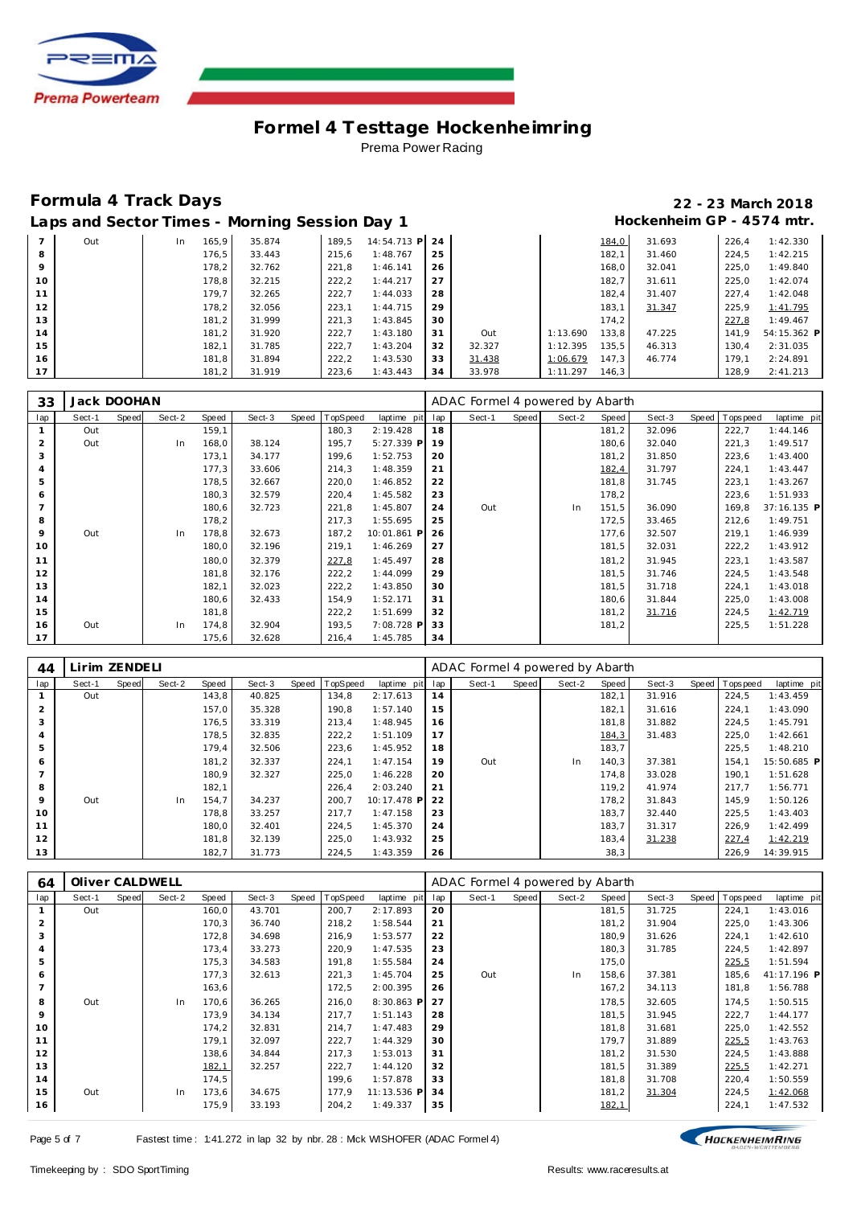

|         |     |             | $-1$   |       |                |    |        |          |       |        |       |             |
|---------|-----|-------------|--------|-------|----------------|----|--------|----------|-------|--------|-------|-------------|
|         | Out | 165,9<br>In | 35.874 | 189.5 | 14:54.713 P 24 |    |        |          | 184,0 | 31.693 | 226.4 | 1:42.330    |
| 8       |     | 176.5       | 33.443 | 215,6 | 1:48.767       | 25 |        |          | 182,1 | 31.460 | 224.5 | 1:42.215    |
| $\circ$ |     | 178,2       | 32.762 | 221,8 | 1:46.141       | 26 |        |          | 168,0 | 32.041 | 225,0 | 1:49.840    |
| 10      |     | 178,8       | 32.215 | 222,2 | 1:44.217       | 27 |        |          | 182,7 | 31.611 | 225.0 | 1:42.074    |
| 11      |     | 179,7       | 32.265 | 222,7 | 1:44.033       | 28 |        |          | 182,4 | 31.407 | 227,4 | 1:42.048    |
| 12      |     | 178,2       | 32.056 | 223,1 | 1:44.715       | 29 |        |          | 183,1 | 31.347 | 225,9 | 1:41.795    |
| 13      |     | 181,2       | 31.999 | 221,3 | 1:43.845       | 30 |        |          | 174,2 |        | 227,8 | 1:49.467    |
| 14      |     | 181,2       | 31.920 | 222,7 | 1:43.180       | 31 | Out    | 1:13.690 | 133,8 | 47.225 | 141.9 | 54:15.362 P |
| 15      |     | 182,1       | 31.785 | 222,7 | 1:43.204       | 32 | 32.327 | 1:12.395 | 135,5 | 46.313 | 130.4 | 2:31.035    |
| 16      |     | 181,8       | 31.894 | 222,2 | 1:43.530       | 33 | 31.438 | 1:06.679 | 147,3 | 46.774 | 179.1 | 2:24.891    |
| 17      |     | 181,2       | 31.919 | 223,6 | 1:43.443       | 34 | 33.978 | 1:11.297 | 146,3 |        | 128,9 | 2:41.213    |

| 33  | Jack DOOHAN |       |        |       |        |       |          |             |     | ADAC Formel 4 powered by Abarth |       |        |       |        |       |             |             |
|-----|-------------|-------|--------|-------|--------|-------|----------|-------------|-----|---------------------------------|-------|--------|-------|--------|-------|-------------|-------------|
| lap | Sect-1      | Speed | Sect-2 | Speed | Sect-3 | Speed | TopSpeed | laptime pit | lap | Sect-1                          | Speed | Sect-2 | Speed | Sect-3 | Speed | T ops pee d | laptime pit |
|     | Out         |       |        | 159,1 |        |       | 180,3    | 2:19.428    | 18  |                                 |       |        | 181,2 | 32.096 |       | 222,7       | 1:44.146    |
| 2   | Out         |       | In     | 168,0 | 38.124 |       | 195,7    | 5:27.339 P  | 19  |                                 |       |        | 180,6 | 32.040 |       | 221,3       | 1:49.517    |
| 3   |             |       |        | 173,1 | 34.177 |       | 199,6    | 1:52.753    | 20  |                                 |       |        | 181,2 | 31.850 |       | 223,6       | 1:43.400    |
|     |             |       |        | 177,3 | 33.606 |       | 214,3    | 1:48.359    | 21  |                                 |       |        | 182,4 | 31.797 |       | 224,1       | 1:43.447    |
| 5   |             |       |        | 178,5 | 32.667 |       | 220,0    | 1:46.852    | 22  |                                 |       |        | 181,8 | 31.745 |       | 223,1       | 1:43.267    |
| 6   |             |       |        | 180,3 | 32.579 |       | 220,4    | 1:45.582    | 23  |                                 |       |        | 178,2 |        |       | 223,6       | 1:51.933    |
|     |             |       |        | 180,6 | 32.723 |       | 221,8    | 1:45.807    | 24  | Out                             |       | In     | 151,5 | 36.090 |       | 169,8       | 37:16.135 P |
| 8   |             |       |        | 178,2 |        |       | 217,3    | 1:55.695    | 25  |                                 |       |        | 172,5 | 33.465 |       | 212,6       | 1:49.751    |
| 9   | Out         |       | In     | 178,8 | 32.673 |       | 187,2    | 10:01.861 P | 26  |                                 |       |        | 177,6 | 32.507 |       | 219,1       | 1:46.939    |
| 10  |             |       |        | 180,0 | 32.196 |       | 219,1    | 1:46.269    | 27  |                                 |       |        | 181,5 | 32.031 |       | 222,2       | 1:43.912    |
| 11  |             |       |        | 180,0 | 32.379 |       | 227,8    | 1:45.497    | 28  |                                 |       |        | 181,2 | 31.945 |       | 223,1       | 1:43.587    |
| 12  |             |       |        | 181,8 | 32.176 |       | 222,2    | 1:44.099    | 29  |                                 |       |        | 181,5 | 31.746 |       | 224,5       | 1:43.548    |
| 13  |             |       |        | 182,1 | 32.023 |       | 222,2    | 1:43.850    | 30  |                                 |       |        | 181,5 | 31.718 |       | 224,1       | 1:43.018    |
| 14  |             |       |        | 180,6 | 32.433 |       | 154,9    | 1:52.171    | 31  |                                 |       |        | 180,6 | 31.844 |       | 225,0       | 1:43.008    |
| 15  |             |       |        | 181,8 |        |       | 222,2    | 1:51.699    | 32  |                                 |       |        | 181,2 | 31.716 |       | 224,5       | 1:42.719    |
| 16  | Out         |       | In     | 174,8 | 32.904 |       | 193,5    | 7:08.728 P  | 33  |                                 |       |        | 181,2 |        |       | 225,5       | 1:51.228    |
| 17  |             |       |        | 175,6 | 32.628 |       | 216,4    | 1:45.785    | 34  |                                 |       |        |       |        |       |             |             |

| 44  | Lirim ZENDELI |       |        |       |        |       |          |             |     | ADAC Formel 4 powered by Abarth |       |        |       |        |                |             |
|-----|---------------|-------|--------|-------|--------|-------|----------|-------------|-----|---------------------------------|-------|--------|-------|--------|----------------|-------------|
| lap | Sect-1        | Speed | Sect-2 | Speed | Sect-3 | Speed | TopSpeed | laptime pit | lap | Sect-1                          | Speed | Sect-2 | Speed | Sect-3 | Speed Topspeed | laptime pit |
|     | Out           |       |        | 143,8 | 40.825 |       | 134,8    | 2:17.613    | 14  |                                 |       |        | 182,1 | 31.916 | 224,5          | 1:43.459    |
|     |               |       |        | 157,0 | 35.328 |       | 190,8    | 1:57.140    | 15  |                                 |       |        | 182,1 | 31.616 | 224.1          | 1:43.090    |
|     |               |       |        | 176,5 | 33.319 |       | 213,4    | 1:48.945    | 16  |                                 |       |        | 181,8 | 31.882 | 224.5          | 1:45.791    |
|     |               |       |        | 178,5 | 32.835 |       | 222,2    | 1:51.109    | 17  |                                 |       |        | 184,3 | 31.483 | 225,0          | 1:42.661    |
| 5   |               |       |        | 179,4 | 32.506 |       | 223,6    | 1:45.952    | 18  |                                 |       |        | 183,7 |        | 225,5          | 1:48.210    |
| 6   |               |       |        | 181,2 | 32.337 |       | 224.1    | 1:47.154    | 19  | Out                             |       | In.    | 140,3 | 37.381 | 154.1          | 15:50.685 P |
|     |               |       |        | 180,9 | 32.327 |       | 225,0    | 1:46.228    | 20  |                                 |       |        | 174,8 | 33.028 | 190.1          | 1:51.628    |
| 8   |               |       |        | 182,1 |        |       | 226,4    | 2:03.240    | 21  |                                 |       |        | 119,2 | 41.974 | 217.7          | 1:56.771    |
| 9   | Out           |       | In.    | 154.7 | 34.237 |       | 200.7    | 10:17.478 P | 22  |                                 |       |        | 178,2 | 31.843 | 145.9          | 1:50.126    |
| 10  |               |       |        | 178,8 | 33.257 |       | 217,7    | 1:47.158    | 23  |                                 |       |        | 183,7 | 32.440 | 225,5          | 1:43.403    |
| 11  |               |       |        | 180.0 | 32.401 |       | 224.5    | 1:45.370    | 24  |                                 |       |        | 183,7 | 31.317 | 226.9          | 1:42.499    |
| 12  |               |       |        | 181,8 | 32.139 |       | 225,0    | 1:43.932    | 25  |                                 |       |        | 183,4 | 31.238 | 227,4          | 1:42.219    |
| 13  |               |       |        | 182,7 | 31.773 |       | 224,5    | 1:43.359    | 26  |                                 |       |        | 38,3  |        | 226.9          | 14:39.915   |

| 64  | Oliver CALDWELL |              |        |       |        |       |          |             |     | ADAC Formel 4 powered by Abarth |       |        |       |        |       |             |             |
|-----|-----------------|--------------|--------|-------|--------|-------|----------|-------------|-----|---------------------------------|-------|--------|-------|--------|-------|-------------|-------------|
| lap | Sect-1          | <b>Speed</b> | Sect-2 | Speed | Sect-3 | Speed | TopSpeed | laptime pit | lap | Sect-1                          | Speed | Sect-2 | Speed | Sect-3 | Speed | T ops pee d | laptime pit |
|     | Out             |              |        | 160,0 | 43.701 |       | 200,7    | 2:17.893    | 20  |                                 |       |        | 181,5 | 31.725 |       | 224,1       | 1:43.016    |
| 2   |                 |              |        | 170,3 | 36.740 |       | 218,2    | 1:58.544    | 21  |                                 |       |        | 181,2 | 31.904 |       | 225,0       | 1:43.306    |
| 3   |                 |              |        | 172,8 | 34.698 |       | 216,9    | 1:53.577    | 22  |                                 |       |        | 180,9 | 31.626 |       | 224,1       | 1:42.610    |
|     |                 |              |        | 173,4 | 33.273 |       | 220,9    | 1:47.535    | 23  |                                 |       |        | 180,3 | 31.785 |       | 224,5       | 1:42.897    |
| 5   |                 |              |        | 175,3 | 34.583 |       | 191,8    | 1:55.584    | 24  |                                 |       |        | 175,0 |        |       | 225,5       | 1:51.594    |
| 6   |                 |              |        | 177,3 | 32.613 |       | 221,3    | 1:45.704    | 25  | Out                             |       | In     | 158,6 | 37.381 |       | 185,6       | 41:17.196 P |
|     |                 |              |        | 163,6 |        |       | 172,5    | 2:00.395    | 26  |                                 |       |        | 167,2 | 34.113 |       | 181,8       | 1:56.788    |
| 8   | Out             |              | In     | 170,6 | 36.265 |       | 216,0    | 8:30.863 P  | 27  |                                 |       |        | 178,5 | 32.605 |       | 174,5       | 1:50.515    |
| 9   |                 |              |        | 173,9 | 34.134 |       | 217,7    | 1:51.143    | 28  |                                 |       |        | 181,5 | 31.945 |       | 222,7       | 1:44.177    |
| 10  |                 |              |        | 174,2 | 32.831 |       | 214,7    | 1:47.483    | 29  |                                 |       |        | 181,8 | 31.681 |       | 225,0       | 1:42.552    |
| 11  |                 |              |        | 179,1 | 32.097 |       | 222,7    | 1:44.329    | 30  |                                 |       |        | 179,7 | 31.889 |       | 225,5       | 1:43.763    |
| 12  |                 |              |        | 138,6 | 34.844 |       | 217,3    | 1:53.013    | 31  |                                 |       |        | 181,2 | 31.530 |       | 224,5       | 1:43.888    |
| 13  |                 |              |        | 182,1 | 32.257 |       | 222,7    | 1:44.120    | 32  |                                 |       |        | 181,5 | 31.389 |       | 225,5       | 1:42.271    |
| 14  |                 |              |        | 174,5 |        |       | 199,6    | 1:57.878    | 33  |                                 |       |        | 181,8 | 31.708 |       | 220,4       | 1:50.559    |
| 15  | Out             |              | In     | 173,6 | 34.675 |       | 177,9    | 11:13.536 P | 34  |                                 |       |        | 181,2 | 31.304 |       | 224,5       | 1:42.068    |
| 16  |                 |              |        | 175,9 | 33.193 |       | 204,2    | 1:49.337    | 35  |                                 |       |        | 182,1 |        |       | 224,1       | 1:47.532    |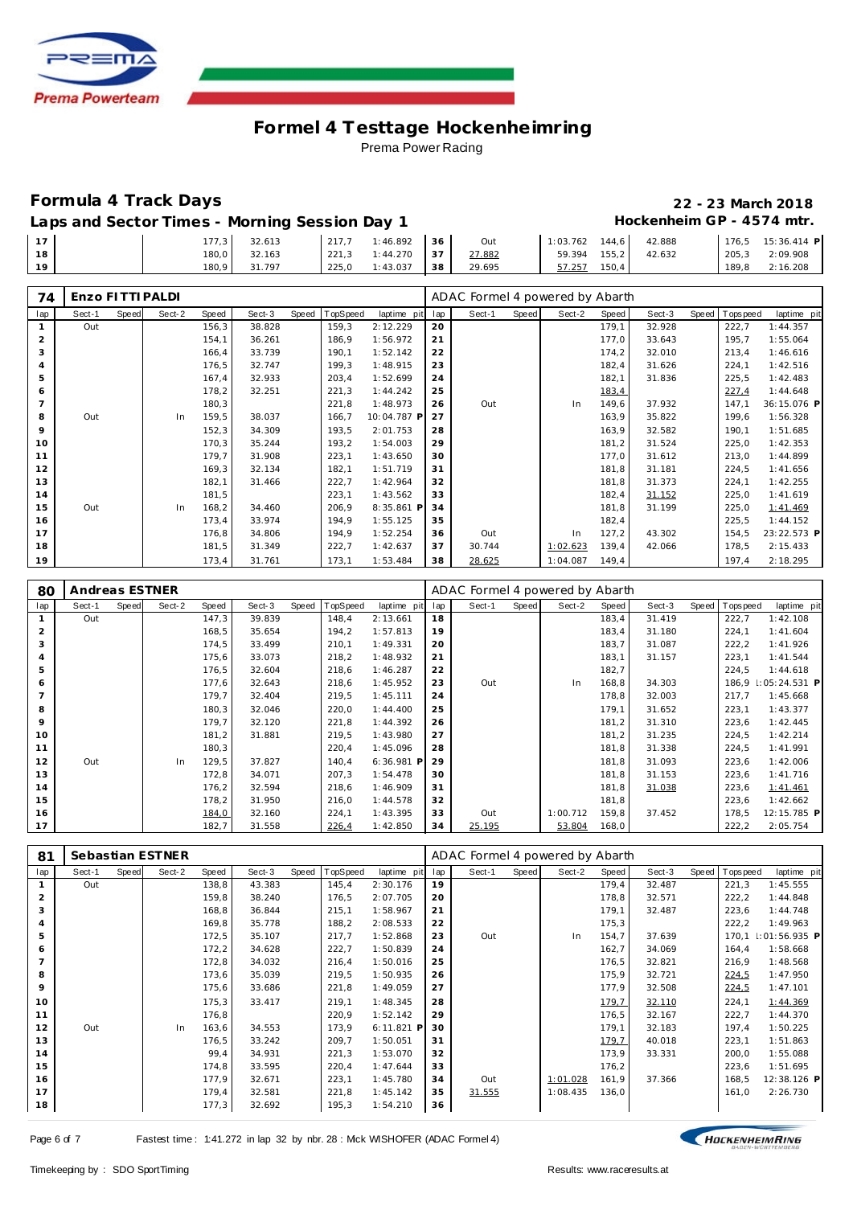

# **Formula 4 Track Days 22 - 23 March 2018**

Laps and Sector Times - Morning Session Day 1 **Hockenheim GP** - 4574 mtr.

|    | 177,3 | 32.613 | 217.7 | : 46.892 | 36 | Out    | 1:03.762 | 144.6  | 42.888 | 176,5 | 15:36.414 P |
|----|-------|--------|-------|----------|----|--------|----------|--------|--------|-------|-------------|
| 18 | 180,0 | 32.163 | 221,3 | 1:44.270 | 37 | 27.882 | 59.394   | 155, 2 | 42.632 | 205,3 | 2:09.908    |
| 1Q | 180.9 | 31.797 | 225.0 | 1:43.037 | 38 | 29.695 | 57.257   | 150,4  |        | 189.8 | 2:16.208    |

| 74  | Enzo FITTI PALDI |       |        |       |        |       |          |             |     | ADAC Formel 4 powered by Abarth |       |          |       |        |       |             |             |
|-----|------------------|-------|--------|-------|--------|-------|----------|-------------|-----|---------------------------------|-------|----------|-------|--------|-------|-------------|-------------|
| lap | Sect-1           | Speed | Sect-2 | Speed | Sect-3 | Speed | TopSpeed | laptime pit | lap | Sect-1                          | Speed | Sect-2   | Speed | Sect-3 | Speed | T ops pee d | laptime pit |
|     | Out              |       |        | 156,3 | 38.828 |       | 159,3    | 2:12.229    | 20  |                                 |       |          | 179,1 | 32.928 |       | 222,7       | 1:44.357    |
| 2   |                  |       |        | 154,1 | 36.261 |       | 186,9    | 1:56.972    | 21  |                                 |       |          | 177,0 | 33.643 |       | 195,7       | 1:55.064    |
| 3   |                  |       |        | 166,4 | 33.739 |       | 190,1    | 1:52.142    | 22  |                                 |       |          | 174,2 | 32.010 |       | 213,4       | 1:46.616    |
|     |                  |       |        | 176,5 | 32.747 |       | 199,3    | 1:48.915    | 23  |                                 |       |          | 182,4 | 31.626 |       | 224,1       | 1:42.516    |
| 5   |                  |       |        | 167,4 | 32.933 |       | 203,4    | 1:52.699    | 24  |                                 |       |          | 182,1 | 31.836 |       | 225,5       | 1:42.483    |
| 6   |                  |       |        | 178,2 | 32.251 |       | 221,3    | 1:44.242    | 25  |                                 |       |          | 183,4 |        |       | 227,4       | 1:44.648    |
|     |                  |       |        | 180,3 |        |       | 221,8    | 1:48.973    | 26  | Out                             |       | In       | 149,6 | 37.932 |       | 147,1       | 36:15.076 P |
| 8   | Out              |       | In     | 159,5 | 38.037 |       | 166,7    | 10:04.787 P | 27  |                                 |       |          | 163,9 | 35.822 |       | 199,6       | 1:56.328    |
| 9   |                  |       |        | 152,3 | 34.309 |       | 193,5    | 2:01.753    | 28  |                                 |       |          | 163,9 | 32.582 |       | 190,1       | 1:51.685    |
| 10  |                  |       |        | 170,3 | 35.244 |       | 193,2    | 1:54.003    | 29  |                                 |       |          | 181,2 | 31.524 |       | 225,0       | 1:42.353    |
| 11  |                  |       |        | 179,7 | 31.908 |       | 223,1    | 1:43.650    | 30  |                                 |       |          | 177,0 | 31.612 |       | 213,0       | 1:44.899    |
| 12  |                  |       |        | 169,3 | 32.134 |       | 182,1    | 1:51.719    | 31  |                                 |       |          | 181,8 | 31.181 |       | 224,5       | 1:41.656    |
| 13  |                  |       |        | 182,1 | 31.466 |       | 222,7    | 1:42.964    | 32  |                                 |       |          | 181,8 | 31.373 |       | 224,1       | 1:42.255    |
| 14  |                  |       |        | 181,5 |        |       | 223,1    | 1:43.562    | 33  |                                 |       |          | 182,4 | 31.152 |       | 225,0       | 1:41.619    |
| 15  | Out              |       | In     | 168,2 | 34.460 |       | 206,9    | 8:35.861 P  | 34  |                                 |       |          | 181,8 | 31.199 |       | 225,0       | 1:41.469    |
| 16  |                  |       |        | 173,4 | 33.974 |       | 194,9    | 1:55.125    | 35  |                                 |       |          | 182,4 |        |       | 225,5       | 1:44.152    |
| 17  |                  |       |        | 176,8 | 34.806 |       | 194,9    | 1:52.254    | 36  | Out                             |       | In       | 127,2 | 43.302 |       | 154,5       | 23:22.573 P |
| 18  |                  |       |        | 181,5 | 31.349 |       | 222,7    | 1:42.637    | 37  | 30.744                          |       | 1:02.623 | 139,4 | 42.066 |       | 178,5       | 2:15.433    |
| 19  |                  |       |        | 173,4 | 31.761 |       | 173,1    | 1:53.484    | 38  | 28.625                          |       | 1:04.087 | 149,4 |        |       | 197,4       | 2:18.295    |

| 80  | Andreas ESTNER |       |        |       |        |       |                 |             |     | ADAC Formel 4 powered by Abarth |       |          |       |        |       |             |                 |
|-----|----------------|-------|--------|-------|--------|-------|-----------------|-------------|-----|---------------------------------|-------|----------|-------|--------|-------|-------------|-----------------|
| lap | Sect-1         | Speed | Sect-2 | Speed | Sect-3 | Speed | <b>TopSpeed</b> | laptime pit | lap | Sect-1                          | Speed | Sect-2   | Speed | Sect-3 | Speed | T ops pee d | laptime pit     |
|     | Out            |       |        | 147,3 | 39.839 |       | 148,4           | 2:13.661    | 18  |                                 |       |          | 183,4 | 31.419 |       | 222,7       | 1:42.108        |
| 2   |                |       |        | 168,5 | 35.654 |       | 194,2           | 1:57.813    | 19  |                                 |       |          | 183,4 | 31.180 |       | 224,1       | 1:41.604        |
| 3   |                |       |        | 174,5 | 33.499 |       | 210,1           | 1:49.331    | 20  |                                 |       |          | 183,7 | 31.087 |       | 222,2       | 1:41.926        |
|     |                |       |        | 175,6 | 33.073 |       | 218,2           | 1:48.932    | 21  |                                 |       |          | 183,1 | 31.157 |       | 223,1       | 1:41.544        |
| 5   |                |       |        | 176,5 | 32.604 |       | 218,6           | 1:46.287    | 22  |                                 |       |          | 182,7 |        |       | 224,5       | 1:44.618        |
| 6   |                |       |        | 177,6 | 32.643 |       | 218,6           | 1:45.952    | 23  | Out                             |       | In       | 168,8 | 34.303 |       | 186,9       | $1:05:24.531$ P |
|     |                |       |        | 179,7 | 32.404 |       | 219,5           | 1:45.111    | 24  |                                 |       |          | 178,8 | 32.003 |       | 217,7       | 1:45.668        |
| 8   |                |       |        | 180,3 | 32.046 |       | 220,0           | 1:44.400    | 25  |                                 |       |          | 179,1 | 31.652 |       | 223,1       | 1:43.377        |
| 9   |                |       |        | 179,7 | 32.120 |       | 221,8           | 1:44.392    | 26  |                                 |       |          | 181,2 | 31.310 |       | 223,6       | 1:42.445        |
| 10  |                |       |        | 181,2 | 31.881 |       | 219,5           | 1:43.980    | 27  |                                 |       |          | 181,2 | 31.235 |       | 224,5       | 1:42.214        |
| 11  |                |       |        | 180,3 |        |       | 220,4           | 1:45.096    | 28  |                                 |       |          | 181,8 | 31.338 |       | 224,5       | 1:41.991        |
| 12  | Out            |       | In     | 129,5 | 37.827 |       | 140,4           | 6:36.981 P  | 29  |                                 |       |          | 181,8 | 31.093 |       | 223,6       | 1:42.006        |
| 13  |                |       |        | 172,8 | 34.071 |       | 207,3           | 1:54.478    | 30  |                                 |       |          | 181,8 | 31.153 |       | 223,6       | 1:41.716        |
| 14  |                |       |        | 176,2 | 32.594 |       | 218,6           | 1:46.909    | 31  |                                 |       |          | 181,8 | 31.038 |       | 223,6       | 1:41.461        |
| 15  |                |       |        | 178,2 | 31.950 |       | 216,0           | 1:44.578    | 32  |                                 |       |          | 181,8 |        |       | 223,6       | 1:42.662        |
| 16  |                |       |        | 184,0 | 32.160 |       | 224,1           | 1:43.395    | 33  | Out                             |       | 1:00.712 | 159,8 | 37.452 |       | 178,5       | 12:15.785 P     |
| 17  |                |       |        | 182,7 | 31.558 |       | 226,4           | 1:42.850    | 34  | 25.195                          |       | 53.804   | 168,0 |        |       | 222,2       | 2:05.754        |

| 81           |        |       | Sebastian ESTNER |       |        |       |          |             |     | ADAC Formel 4 powered by Abarth |       |          |       |        |       |             |                     |
|--------------|--------|-------|------------------|-------|--------|-------|----------|-------------|-----|---------------------------------|-------|----------|-------|--------|-------|-------------|---------------------|
| lap          | Sect-1 | Speed | Sect-2           | Speed | Sect-3 | Speed | TopSpeed | laptime pit | lap | Sect-1                          | Speed | Sect-2   | Speed | Sect-3 | Speed | T ops pee d | laptime pit         |
| $\mathbf{1}$ | Out    |       |                  | 138,8 | 43.383 |       | 145,4    | 2:30.176    | 19  |                                 |       |          | 179,4 | 32.487 |       | 221,3       | 1:45.555            |
| 2            |        |       |                  | 159,8 | 38.240 |       | 176,5    | 2:07.705    | 20  |                                 |       |          | 178,8 | 32.571 |       | 222,2       | 1:44.848            |
| 3            |        |       |                  | 168,8 | 36.844 |       | 215,1    | 1:58.967    | 21  |                                 |       |          | 179,1 | 32.487 |       | 223,6       | 1:44.748            |
| 4            |        |       |                  | 169,8 | 35.778 |       | 188,2    | 2:08.533    | 22  |                                 |       |          | 175,3 |        |       | 222,2       | 1:49.963            |
| 5            |        |       |                  | 172,5 | 35.107 |       | 217,7    | 1:52.868    | 23  | Out                             |       | In       | 154,7 | 37.639 |       |             | 170,1 1:01:56.935 P |
| 6            |        |       |                  | 172,2 | 34.628 |       | 222,7    | 1:50.839    | 24  |                                 |       |          | 162,7 | 34.069 |       | 164,4       | 1:58.668            |
|              |        |       |                  | 172,8 | 34.032 |       | 216,4    | 1:50.016    | 25  |                                 |       |          | 176,5 | 32.821 |       | 216,9       | 1:48.568            |
| 8            |        |       |                  | 173,6 | 35.039 |       | 219,5    | 1:50.935    | 26  |                                 |       |          | 175,9 | 32.721 |       | 224,5       | 1:47.950            |
| 9            |        |       |                  | 175,6 | 33.686 |       | 221,8    | 1:49.059    | 27  |                                 |       |          | 177,9 | 32.508 |       | 224,5       | 1:47.101            |
| 10           |        |       |                  | 175,3 | 33.417 |       | 219,1    | 1:48.345    | 28  |                                 |       |          | 179,7 | 32.110 |       | 224,1       | 1:44.369            |
| 11           |        |       |                  | 176,8 |        |       | 220,9    | 1:52.142    | 29  |                                 |       |          | 176,5 | 32.167 |       | 222,7       | 1:44.370            |
| 12           | Out    |       | In               | 163,6 | 34.553 |       | 173,9    | 6:11.821    | 30  |                                 |       |          | 179,1 | 32.183 |       | 197,4       | 1:50.225            |
| 13           |        |       |                  | 176,5 | 33.242 |       | 209,7    | 1:50.051    | 31  |                                 |       |          | 179,7 | 40.018 |       | 223,1       | 1:51.863            |
| 14           |        |       |                  | 99,4  | 34.931 |       | 221,3    | 1:53.070    | 32  |                                 |       |          | 173,9 | 33.331 |       | 200,0       | 1:55.088            |
| 15           |        |       |                  | 174,8 | 33.595 |       | 220,4    | 1:47.644    | 33  |                                 |       |          | 176,2 |        |       | 223,6       | 1:51.695            |
| 16           |        |       |                  | 177,9 | 32.671 |       | 223,1    | 1:45.780    | 34  | Out                             |       | 1:01.028 | 161,9 | 37.366 |       | 168,5       | 12:38.126 P         |
| 17           |        |       |                  | 179,4 | 32.581 |       | 221,8    | 1:45.142    | 35  | 31.555                          |       | 1:08.435 | 136,0 |        |       | 161,0       | 2:26.730            |
| 18           |        |       |                  | 177,3 | 32.692 |       | 195,3    | 1:54.210    | 36  |                                 |       |          |       |        |       |             |                     |

HOCKENHEIMRING